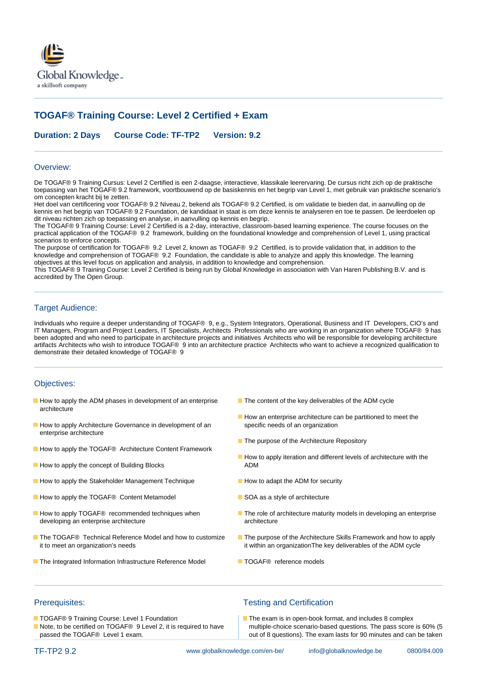

# **TOGAF® Training Course: Level 2 Certified + Exam**

**Duration: 2 Days Course Code: TF-TP2 Version: 9.2**

### Overview:

De TOGAF® 9 Training Cursus: Level 2 Certified is een 2-daagse, interactieve, klassikale leerervaring. De cursus richt zich op de praktische toepassing van het TOGAF® 9.2 framework, voortbouwend op de basiskennis en het begrip van Level 1, met gebruik van praktische scenario's om concepten kracht bij te zetten.

Het doel van certificering voor TOGAF® 9.2 Niveau 2, bekend als TOGAF® 9.2 Certified, is om validatie te bieden dat, in aanvulling op de kennis en het begrip van TOGAF® 9.2 Foundation, de kandidaat in staat is om deze kennis te analyseren en toe te passen. De leerdoelen op dit niveau richten zich op toepassing en analyse, in aanvulling op kennis en begrip.

The TOGAF® 9 Training Course: Level 2 Certified is a 2-day, interactive, classroom-based learning experience. The course focuses on the practical application of the TOGAF® 9.2 framework, building on the foundational knowledge and comprehension of Level 1, using practical scenarios to enforce concepts.

The purpose of certification for TOGAF® 9.2 Level 2, known as TOGAF® 9.2 Certified, is to provide validation that, in addition to the knowledge and comprehension of TOGAF® 9.2 Foundation, the candidate is able to analyze and apply this knowledge. The learning objectives at this level focus on application and analysis, in addition to knowledge and comprehension.

This TOGAF® 9 Training Course: Level 2 Certified is being run by Global Knowledge in association with Van Haren Publishing B.V. and is accredited by The Open Group.

### Target Audience:

Individuals who require a deeper understanding of TOGAF® 9, e.g., System Integrators, Operational, Business and IT Developers, CIO's and IT Managers, Program and Project Leaders, IT Specialists, Architects Professionals who are working in an organization where TOGAF® 9 has been adopted and who need to participate in architecture projects and initiatives Architects who will be responsible for developing architecture artifacts Architects who wish to introduce TOGAF® 9 into an architecture practice Architects who want to achieve a recognized qualification to demonstrate their detailed knowledge of TOGAF® 9

## Objectives:

- How to apply the ADM phases in development of an enterprise The content of the key deliverables of the ADM cycle architecture
- How to apply Architecture Governance in development of an specific needs of an organization enterprise architecture
- How to apply the TOGAF<sup>®</sup> Architecture Content Framework
- How to apply the concept of Building Blocks ADM
- How to apply the Stakeholder Management Technique How to adapt the ADM for security
- How to apply the TOGAF® Content Metamodel SOA as a style of architecture
- developing an enterprise architecture architecture architecture
- it to meet an organization's needs it within an organizationThe key deliverables of the ADM cycle
- The Integrated Information Infrastructure Reference Model TOGAF® reference models
- 
- How an enterprise architecture can be partitioned to meet the
- **The purpose of the Architecture Repository**
- $\blacksquare$  How to apply iteration and different levels of architecture with the
- 
- 
- How to apply TOGAF® recommended techniques when The role of architecture maturity models in developing an enterprise
- The TOGAF® Technical Reference Model and how to customize The purpose of the Architecture Skills Framework and how to apply
	-

- 
- 

# Prerequisites: Testing and Certification

■ TOGAF® 9 Training Course: Level 1 Foundation The exam is in open-book format, and includes 8 complex Note, to be certified on TOGAF® 9 Level 2, it is required to have multiple-choice scenario-based questions. The pass score is 60% (5 passed the TOGAF® Level 1 exam.  $\Box$  out of 8 questions). The exam lasts for 90 minutes and can be taken